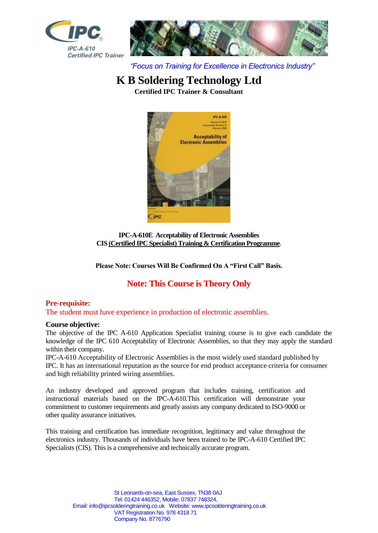



*"Focus on Training for Excellence in Electronics Industry"*

# **K B Soldering Technology Ltd**

**Certified IPC Trainer & Consultant**



**IPC-A-610E Acceptability of Electronic Assemblies CIS (Certified IPC Specialist) Training & Certification Programme**.

**Please Note: Courses Will Be Confirmed On A "First Call" Basis.**

# **Note: This Course is Theory Only**

## **Pre-requisite:**

The student must have experience in production of electronic assemblies.

## **Course objective:**

The objective of the IPC A-610 Application Specialist training course is to give each candidate the knowledge of the IPC 610 Acceptability of Electronic Assemblies, so that they may apply the standard within their company.

IPC-A-610 Acceptability of Electronic Assemblies is the most widely used standard published by IPC. It has an international reputation as the source for end product acceptance criteria for consumer and high reliability printed wiring assemblies.

An industry developed and approved program that includes training, certification and instructional materials based on the IPC-A-610.This certification will demonstrate your commitment to customer requirements and greatly assists any company dedicated to ISO-9000 or other quality assurance initiatives.

This training and certification has immediate recognition, legitimacy and value throughout the electronics industry. Thousands of individuals have been trained to be IPC-A-610 Certified IPC Specialists (CIS). This is a comprehensive and technically accurate program.